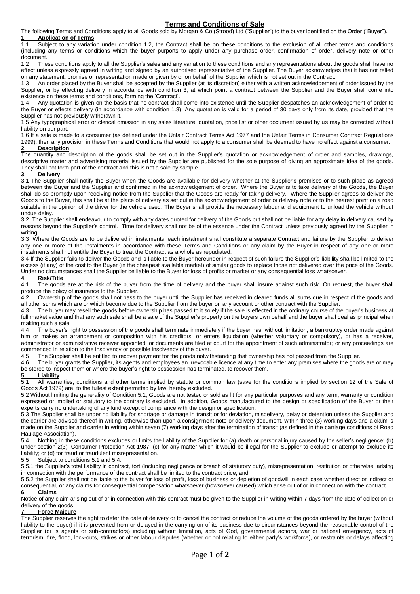# **Terms and Conditions of Sale**

The following Terms and Conditions apply to all Goods sold by Morgan & Co (Strood) Ltd ("Supplier") to the buyer identified on the Order ("Buyer"). **1. Application of Terms**

1.1 Subject to any variation under condition 1.2, the Contract shall be on these conditions to the exclusion of all other terms and conditions (including any terms or conditions which the buyer purports to apply under any purchase order, confirmation of order, delivery note or other document.

1.2 These conditions apply to all the Supplier's sales and any variation to these conditions and any representations about the goods shall have no effect unless expressly agreed in writing and signed by an authorised representative of the Supplier. The Buyer acknowledges that it has not relied on any statement, promise or representation made or given by or on behalf of the Supplier which is not set out in the Contract.

1.3 An order placed by the Buyer shall be accepted by the Supplier (at its discretion) either with a written acknowledgement of order issued by the Supplier, or by effecting delivery in accordance with condition 3, at which point a contract between the Supplier and the Buyer shall come into existence on these terms and conditions, forming the 'Contract'.

1.4 Any quotation is given on the basis that no contract shall come into existence until the Supplier despatches an acknowledgement of order to the Buyer or effects delivery (in accordance with condition 1.3). Any quotation is valid for a period of 30 days only from its date, provided that the Supplier has not previously withdrawn it.

1.5 Any typographical error or clerical omission in any sales literature, quotation, price list or other document issued by us may be corrected without liability on our part.

1.6 If a sale is made to a consumer (as defined under the Unfair Contract Terms Act 1977 and the Unfair Terms in Consumer Contract Regulations 1999), then any provision in these Terms and Conditions that would not apply to a consumer shall be deemed to have no effect against a consumer.

#### **2. Description**

The quantity and description of the goods shall be set out in the Supplier's quotation or acknowledgement of order and samples, drawings, descriptive matter and advertising material issued by the Supplier are published for the sole purpose of giving an approximate idea of the goods. They shall not form part of the contract and this is not a sale by sample.

#### **3. Delivery**

3.1 The Supplier shall notify the Buyer when the Goods are available for delivery whether at the Supplier's premises or to such place as agreed between the Buyer and the Supplier and confirmed in the acknowledgement of order. Where the Buyer is to take delivery of the Goods, the Buyer shall do so promptly upon receiving notice from the Supplier that the Goods are ready for taking delivery. Where the Supplier agrees to deliver the Goods to the Buyer, this shall be at the place of delivery as set out in the acknowledgement of order or delivery note or to the nearest point on a road suitable in the opinion of the driver for the vehicle used. The Buyer shall provide the necessary labour and equipment to unload the vehicle without undue delay.

3.2 The Supplier shall endeavour to comply with any dates quoted for delivery of the Goods but shall not be liable for any delay in delivery caused by reasons beyond the Supplier's control. Time for delivery shall not be of the essence under the Contract unless previously agreed by the Supplier in writing.

3.3 Where the Goods are to be delivered in instalments, each instalment shall constitute a separate Contract and failure by the Supplier to deliver any one or more of the instalments in accordance with these Terms and Conditions or any claim by the Buyer in respect of any one or more instalments shall not entitle the Buyer to treat the Contract as a whole as repudiated.

3.4 If the Supplier fails to deliver the Goods and is liable to the Buyer hereunder in respect of such failure the Supplier's liability shall be limited to the excess (if any) of the cost to the Buyer (in the cheapest available market) of similar goods to replace those not delivered over the price of the Goods. Under no circumstances shall the Supplier be liable to the Buyer for loss of profits or market or any consequential loss whatsoever.

### **4. Risk/Title**

4.1 The goods are at the risk of the buyer from the time of delivery and the buyer shall insure against such risk. On request, the buyer shall produce the policy of insurance to the Supplier.<br>4.2 Ownership of the goods shall not pass to

Ownership of the goods shall not pass to the buyer until the Supplier has received in cleared funds all sums due in respect of the goods and all other sums which are or which become due to the Supplier from the buyer on any account or other contract with the Supplier.

4.3 The buyer may resell the goods before ownership has passed to it solely if the sale is effected in the ordinary course of the buyer's business at full market value and that any such sale shall be a sale of the Supplier's property on the buyers own behalf and the buyer shall deal as principal when making such a sale.

4.4 The buyer's right to possession of the goods shall terminate immediately if the buyer has, without limitation, a bankruptcy order made against him or makes an arrangement or composition with his creditors, or enters liquidation (whether voluntary or compulsory), or has a receiver, administrator or administrative receiver appointed; or documents are filed at court for the appointment of such administrator; or any proceedings are commenced in relation to the insolvency or possible insolvency of the buyer.

4.5 The Supplier shall be entitled to recover payment for the goods notwithstanding that ownership has not passed from the Supplier.

4.6 The buyer grants the Supplier, its agents and employees an irrevocable licence at any time to enter any premises where the goods are or may be stored to inspect them or where the buyer's right to possession has terminated, to recover them.

#### **5. Liability**

5.1 All warranties, conditions and other terms implied by statute or common law (save for the conditions implied by section 12 of the Sale of Goods Act 1979) are, to the fullest extent permitted by law, hereby excluded.

5.2 Without limiting the generality of Condition 5.1, Goods are not tested or sold as fit for any particular purposes and any term, warranty or condition expressed or implied or statutory to the contrary is excluded. In addition, Goods manufactured to the design or specification of the Buyer or their experts carry no undertaking of any kind except of compliance with the design or specification.

5.3 The Supplier shall be under no liability for shortage or damage in transit or for deviation, misdelivery, delay or detention unless the Supplier and the carrier are advised thereof in writing, otherwise than upon a consignment note or delivery document, within three (3) working days and a claim is made on the Supplier and carrier in writing within seven (7) working days after the termination of transit (as defined in the carriage conditions of Road Haulage Association).

5.4 Nothing in these conditions excludes or limits the liability of the Supplier for (a) death or personal injury caused by the seller's negligence; (b) under section 2(3), Consumer Protection Act 1987; (c) for any matter which it would be illegal for the Supplier to exclude or attempt to exclude its liability; or (d) for fraud or fraudulent misrepresentation.

5.5 Subject to conditions 5.1 and 5.4:

5.5.1 the Supplier's total liability in contract, tort (including negligence or breach of statutory duty), misrepresentation, restitution or otherwise, arising in connection with the performance of the contract shall be limited to the contract price; and

5.5.2 the Supplier shall not be liable to the buyer for loss of profit, loss of business or depletion of goodwill in each case whether direct or indirect or consequential, or any claims for consequential compensation whatsoever (howsoever caused) which arise out of or in connection with the contract. **6. Claims**

Notice of any claim arising out of or in connection with this contract must be given to the Supplier in writing within 7 days from the date of collection or delivery of the goods.

### **7. Force Majeure**

The Supplier reserves the right to defer the date of delivery or to cancel the contract or reduce the volume of the goods ordered by the buyer (without liability to the buyer) if it is prevented from or delayed in the carrying on of its business due to circumstances beyond the reasonable control of the Supplier (or is agents or sub-contractors) including without limitation, acts of God, governmental actions, war or national emergency, acts of terrorism, fire, flood, lock-outs, strikes or other labour disputes (whether or not relating to either party's workforce), or restraints or delays affecting